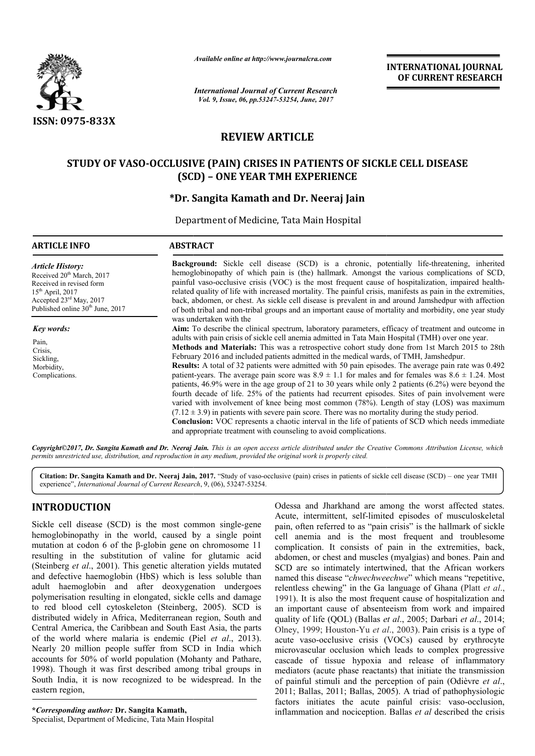

*Available online at http://www.journalcra.com*

*International Journal of Current Research Vol. 9, Issue, 06, pp.53247-53254, June, 2017*

**INTERNATIONAL JOURNAL OF CURRENT RESEARCH** 

# **REVIEW ARTICLE**

# **STUDY OF VASO-OCCLUSIVE (PAIN) CRISES IN PATIENTS OF SICKLE CELL DISEASE OCCLUSIVE – ONE YEAR TMH EXPERIENCE SICKLE CELL (SCD)**

# **\*Dr. Sangita Kamath and Dr. Dr. Neeraj Jain**

Department of Medicine, Tata Main Hospital

| <b>ARTICLE INFO</b>                                                                                                                                                                                       | <b>ABSTRACT</b>                                                                                                                                                                                                                                                                                                                                                                                                                                                                                                                                                                                                                                                                                                                                                                                                                                                                                                                                                                                                                                                                                                                                                                                                                                                         |  |  |  |
|-----------------------------------------------------------------------------------------------------------------------------------------------------------------------------------------------------------|-------------------------------------------------------------------------------------------------------------------------------------------------------------------------------------------------------------------------------------------------------------------------------------------------------------------------------------------------------------------------------------------------------------------------------------------------------------------------------------------------------------------------------------------------------------------------------------------------------------------------------------------------------------------------------------------------------------------------------------------------------------------------------------------------------------------------------------------------------------------------------------------------------------------------------------------------------------------------------------------------------------------------------------------------------------------------------------------------------------------------------------------------------------------------------------------------------------------------------------------------------------------------|--|--|--|
| <b>Article History:</b><br>Received 20 <sup>th</sup> March, 2017<br>Received in revised form<br>$15th$ April, 2017<br>Accepted $23^{\text{rd}}$ May, 2017<br>Published online 30 <sup>th</sup> June, 2017 | <b>Background:</b> Sickle cell disease (SCD) is a chronic, potentially life-threatening, inherited<br>hemoglobinopathy of which pain is (the) hallmark. Amongst the various complications of SCD,<br>painful vaso-occlusive crisis (VOC) is the most frequent cause of hospitalization, impaired health-<br>related quality of life with increased mortality. The painful crisis, manifests as pain in the extremities,<br>back, abdomen, or chest. As sickle cell disease is prevalent in and around Jamshedpur with affection<br>of both tribal and non-tribal groups and an important cause of mortality and morbidity, one year study                                                                                                                                                                                                                                                                                                                                                                                                                                                                                                                                                                                                                               |  |  |  |
| Key words:<br>Pain,<br>Crisis.<br>Sickling,<br>Morbidity,<br>Complications.                                                                                                                               | was undertaken with the<br><b>Aim:</b> To describe the clinical spectrum, laboratory parameters, efficacy of treatment and outcome in<br>adults with pain crisis of sickle cell anemia admitted in Tata Main Hospital (TMH) over one year.<br>Methods and Materials: This was a retrospective cohort study done from 1st March 2015 to 28th<br>February 2016 and included patients admitted in the medical wards, of TMH, Jamshedpur.<br><b>Results:</b> A total of 32 patients were admitted with 50 pain episodes. The average pain rate was 0.492<br>patient-years. The average pain score was $8.9 \pm 1.1$ for males and for females was $8.6 \pm 1.24$ . Most<br>patients, 46.9% were in the age group of 21 to 30 years while only 2 patients (6.2%) were beyond the<br>fourth decade of life. 25% of the patients had recurrent episodes. Sites of pain involvement were<br>varied with involvement of knee being most common (78%). Length of stay (LOS) was maximum<br>$(7.12 \pm 3.9)$ in patients with severe pain score. There was no mortality during the study period.<br><b>Conclusion:</b> VOC represents a chaotic interval in the life of patients of SCD which needs immediate<br>and appropriate treatment with counseling to avoid complications. |  |  |  |

*Copyright©2017, Dr. Sangita Kamath and Dr. Neeraj Jain Jain. This is an open access article distributed under the Creative Commons Att is access under Creative Attribution License, which permits unrestricted use, distribution, and reproduction in any medium, provided the original work is properly cited.*

Citation: Dr. Sangita Kamath and Dr. Neeraj Jain, 2017. "Study of vaso-occlusive (pain) crises in patients of sickle cell disease (SCD) - one year TMH experience", *International Journal of Current Research*, 9, (06), 53247-53254.

# **INTRODUCTION**

Sickle cell disease (SCD) is the most common single-gene hemoglobinopathy in the world, caused by a single point mutation at codon 6 of the β-globin gene on chromosome 11 resulting in the substitution of valine for glutamic acid (Steinberg *et al*., 2001). This genetic alteration yields mutated and defective haemoglobin (HbS) which is less soluble than adult haemoglobin and after deoxygenation undergoes polymerisation resulting in elongated, sickle cells and damage to red blood cell cytoskeleton (Steinberg, 2005). SCD is distributed widely in Africa, Mediterranean region, South and Central America, the Caribbean and South East Asia, the parts of the world where malaria is endemic (Piel *et al.*, 2013). Nearly 20 million people suffer from SCD in India which accounts for 50% of world population (Mohanty and Pathare, 1998). Though it was first described among tribal groups in South India, it is now recognized to be widespread. In the eastern region, e  $\beta$ -globin gene on chromosome 11 tion of valine for glutamic acid<br>his genetic alteration yields mutated<br>n (HbS) which is less soluble than<br>after deoxygenation undergoes<br>n elongated, sickle cells and damage<br>celeton (Ste

**\****Corresponding author:* **Dr. Sangita Kamath,** Specialist, Department of Medicine, Tata Main Hospital

**RODUCTION**<br> **COLUCTION**<br>
Considently the most common single-gene<br>
pain, often neferred to as "pain crisis" is the hallmark of sickle<br>
globinopathy in the world, caused by a single point<br>
cell anemia and is the most frequ Acute, intermittent, self-limited episodes of musculoskeletal pain, often referred to as "pain crisis" is the hallmark of sickle cell anemia and is the most frequent and troublesome complication. It consists of pain in the extremities, back, complication. It consists of pain in the extremities, back, abdomen, or chest and muscles (myalgias) and bones. Pain and SCD are so intimately intertwined, that the African workers named this disease "*chwechweechwe chwechweechwe*" which means "repetitive, relentless chewing" in the Ga language of Ghana (Platt *et al.*, 1991). It is also the most frequent cause of hospitalization and an important cause of absenteeism from work and impaired 1991). It is also the most frequent cause of hospitalization and an important cause of absenteeism from work and impaired quality of life (QOL) (Ballas *et al.*, 2005; Darbari *et al.*, 2014; Olney, 1999; Houston-Yu et al., 2003). Pain crisis is a type of acute vaso-occlusive crisis (VOCs) caused by erythrocyte microvascular occlusion which leads to complex progressive cascade of tissue hypoxia and release of inflammatory mediators (acute phase reactants) that initiate the transmission acute vaso-occlusive crisis (VOCs) caused by erythrocyte microvascular occlusion which leads to complex progressive cascade of tissue hypoxia and release of inflammatory mediators (acute phase reactants) that initiate the 2011; Ballas, 2011; Ballas, 2005 , 2005). A triad of pathophysiologic factors initiates the acute painful crisis: vaso-occlusion, inflammation and nociception. Ballas *et al* described the crisis are and Jharkhand are among the worst affected states.<br>
Separate the origin of the musculoskeletal<br>
often referred to as "pain crisis" is the hallmark of sickle<br>
anemia and is the most frequent and troublesome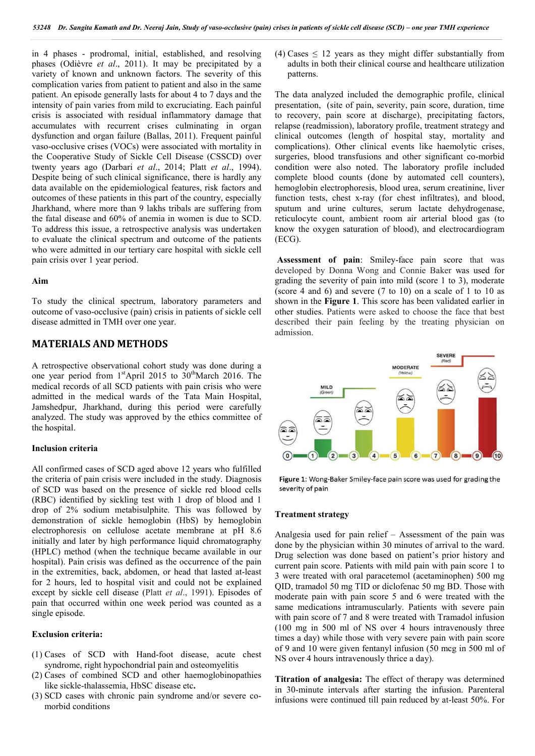in 4 phases - prodromal, initial, established, and resolving phases (Odièvre *et al*., 2011). It may be precipitated by a variety of known and unknown factors. The severity of this complication varies from patient to patient and also in the same patient. An episode generally lasts for about 4 to 7 days and the intensity of pain varies from mild to excruciating. Each painful crisis is associated with residual inflammatory damage that accumulates with recurrent crises culminating in organ dysfunction and organ failure (Ballas, 2011). Frequent painful vaso-occlusive crises (VOCs) were associated with mortality in the Cooperative Study of Sickle Cell Disease (CSSCD) over twenty years ago (Darbari *et al*., 2014; Platt *et al*., 1994). Despite being of such clinical significance, there is hardly any data available on the epidemiological features, risk factors and outcomes of these patients in this part of the country, especially Jharkhand, where more than 9 lakhs tribals are suffering from the fatal disease and 60% of anemia in women is due to SCD. To address this issue, a retrospective analysis was undertaken to evaluate the clinical spectrum and outcome of the patients who were admitted in our tertiary care hospital with sickle cell pain crisis over 1 year period.

### **Aim**

To study the clinical spectrum, laboratory parameters and outcome of vaso-occlusive (pain) crisis in patients of sickle cell disease admitted in TMH over one year.

## **MATERIALS AND METHODS**

A retrospective observational cohort study was done during a one year period from  $1<sup>st</sup>$ April 2015 to  $30<sup>th</sup>$ March 2016. The medical records of all SCD patients with pain crisis who were admitted in the medical wards of the Tata Main Hospital, Jamshedpur, Jharkhand, during this period were carefully analyzed. The study was approved by the ethics committee of the hospital.

## **Inclusion criteria**

All confirmed cases of SCD aged above 12 years who fulfilled the criteria of pain crisis were included in the study. Diagnosis of SCD was based on the presence of sickle red blood cells (RBC) identified by sickling test with 1 drop of blood and 1 drop of 2% sodium metabisulphite. This was followed by demonstration of sickle hemoglobin (HbS) by hemoglobin electrophoresis on cellulose acetate membrane at pH 8.6 initially and later by high performance liquid chromatography (HPLC) method (when the technique became available in our hospital). Pain crisis was defined as the occurrence of the pain in the extremities, back, abdomen, or head that lasted at-least for 2 hours, led to hospital visit and could not be explained except by sickle cell disease (Platt *et al*., 1991). Episodes of pain that occurred within one week period was counted as a single episode.

### **Exclusion criteria:**

- (1) Cases of SCD with Hand-foot disease, acute chest syndrome, right hypochondrial pain and osteomyelitis
- (2) Cases of combined SCD and other haemoglobinopathies like sickle-thalassemia, HbSC disease etc**.**
- (3) SCD cases with chronic pain syndrome and/or severe comorbid conditions

(4) Cases  $\leq$  12 years as they might differ substantially from adults in both their clinical course and healthcare utilization patterns.

The data analyzed included the demographic profile, clinical presentation, (site of pain, severity, pain score, duration, time to recovery, pain score at discharge), precipitating factors, relapse (readmission), laboratory profile, treatment strategy and clinical outcomes (length of hospital stay, mortality and complications). Other clinical events like haemolytic crises, surgeries, blood transfusions and other significant co-morbid condition were also noted. The laboratory profile included complete blood counts (done by automated cell counters), hemoglobin electrophoresis, blood urea, serum creatinine, liver function tests, chest x-ray (for chest infiltrates), and blood, sputum and urine cultures, serum lactate dehydrogenase, reticulocyte count, ambient room air arterial blood gas (to know the oxygen saturation of blood), and electrocardiogram (ECG).

**Assessment of pain**: Smiley-face pain score that was developed by Donna Wong and Connie Baker was used for grading the severity of pain into mild (score 1 to 3), moderate (score 4 and 6) and severe (7 to 10) on a scale of 1 to 10 as shown in the **Figure 1**. This score has been validated earlier in other studies. Patients were asked to choose the face that best described their pain feeling by the treating physician on admission.



Figure 1: Wong-Baker Smiley-face pain score was used for grading the severity of pain

#### **Treatment strategy**

Analgesia used for pain relief – Assessment of the pain was done by the physician within 30 minutes of arrival to the ward. Drug selection was done based on patient's prior history and current pain score. Patients with mild pain with pain score 1 to 3 were treated with oral paracetemol (acetaminophen) 500 mg QID, tramadol 50 mg TID or diclofenac 50 mg BD. Those with moderate pain with pain score 5 and 6 were treated with the same medications intramuscularly. Patients with severe pain with pain score of 7 and 8 were treated with Tramadol infusion (100 mg in 500 ml of NS over 4 hours intravenously three times a day) while those with very severe pain with pain score of 9 and 10 were given fentanyl infusion (50 mcg in 500 ml of NS over 4 hours intravenously thrice a day).

**Titration of analgesia:** The effect of therapy was determined in 30-minute intervals after starting the infusion. Parenteral infusions were continued till pain reduced by at-least 50%. For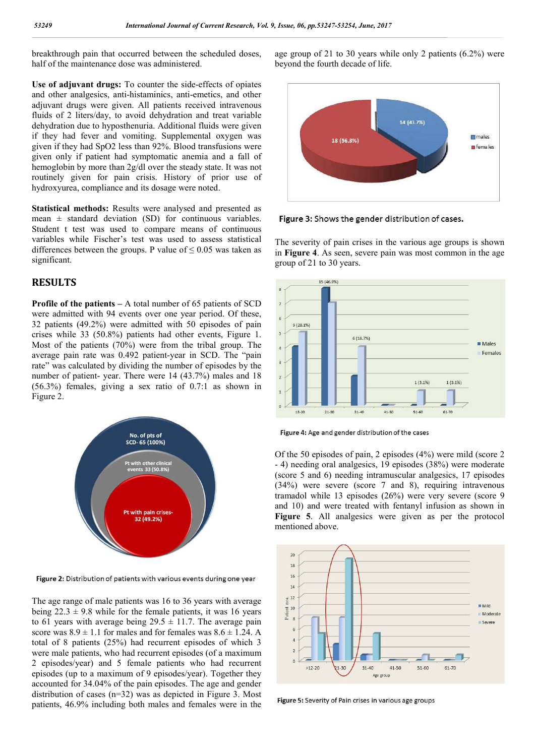breakthrough pain that occurred between the scheduled doses, half of the maintenance dose was administered.

**Use of adjuvant drugs:** To counter the side-effects of opiates and other analgesics, anti-histaminics, anti-emetics, and other adjuvant drugs were given. All patients received intravenous fluids of 2 liters/day, to avoid dehydration and treat variable dehydration due to hyposthenuria. Additional fluids were given if they had fever and vomiting. Supplemental oxygen was given if they had SpO2 less than 92%. Blood transfusions were given only if patient had symptomatic anemia and a fall of hemoglobin by more than 2g/dl over the steady state. It was not routinely given for pain crisis. History of prior use of hydroxyurea, compliance and its dosage were noted.

**Statistical methods:** Results were analysed and presented as mean  $\pm$  standard deviation (SD) for continuous variables. Student t test was used to compare means of continuous variables while Fischer's test was used to assess statistical differences between the groups. P value of  $\leq 0.05$  was taken as significant.

# **RESULTS**

**Profile of the patients –** A total number of 65 patients of SCD were admitted with 94 events over one year period. Of these, 32 patients (49.2%) were admitted with 50 episodes of pain crises while 33 (50.8%) patients had other events, Figure 1. Most of the patients (70%) were from the tribal group. The average pain rate was 0.492 patient-year in SCD. The "pain rate" was calculated by dividing the number of episodes by the number of patient- year. There were 14 (43.7%) males and 18 (56.3%) females, giving a sex ratio of 0.7:1 as shown in Figure 2.



Figure 2: Distribution of patients with various events during one year

The age range of male patients was 16 to 36 years with average being  $22.3 \pm 9.8$  while for the female patients, it was 16 years to 61 years with average being  $29.5 \pm 11.7$ . The average pain score was  $8.9 \pm 1.1$  for males and for females was  $8.6 \pm 1.24$ . A total of 8 patients (25%) had recurrent episodes of which 3 were male patients, who had recurrent episodes (of a maximum 2 episodes/year) and 5 female patients who had recurrent episodes (up to a maximum of 9 episodes/year). Together they accounted for 34.04% of the pain episodes. The age and gender distribution of cases (n=32) was as depicted in Figure 3. Most patients, 46.9% including both males and females were in the

age group of 21 to 30 years while only 2 patients (6.2%) were beyond the fourth decade of life.



Figure 3: Shows the gender distribution of cases.

The severity of pain crises in the various age groups is shown in **Figure 4**. As seen, severe pain was most common in the age group of 21 to 30 years.



Figure 4: Age and gender distribution of the cases

Of the 50 episodes of pain, 2 episodes (4%) were mild (score 2 - 4) needing oral analgesics, 19 episodes (38%) were moderate (score 5 and 6) needing intramuscular analgesics, 17 episodes (34%) were severe (score 7 and 8), requiring intravenous tramadol while 13 episodes (26%) were very severe (score 9 and 10) and were treated with fentanyl infusion as shown in **Figure 5**. All analgesics were given as per the protocol mentioned above.



Figure 5: Severity of Pain crises in various age groups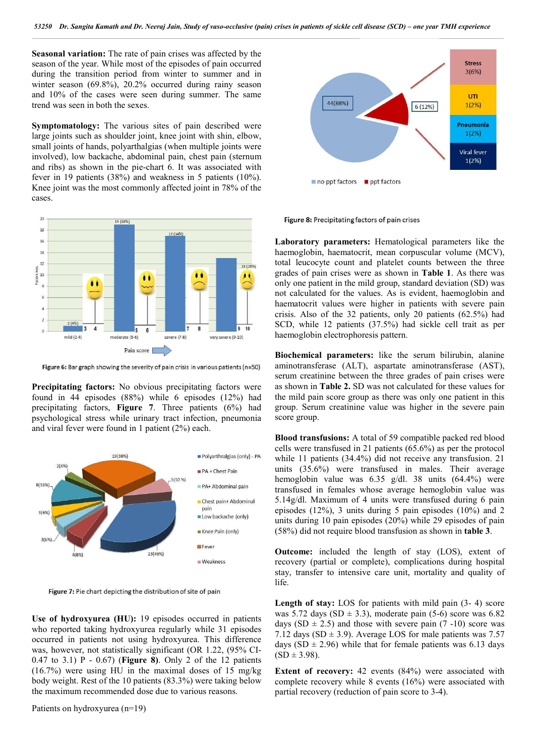**Seasonal variation:** The rate of pain crises was affected by the season of the year. While most of the episodes of pain occurred during the transition period from winter to summer and in winter season (69.8%), 20.2% occurred during rainy season and 10% of the cases were seen during summer. The same trend was seen in both the sexes.

**Symptomatology:** The various sites of pain described were large joints such as shoulder joint, knee joint with shin, elbow, small joints of hands, polyarthalgias (when multiple joints were involved), low backache, abdominal pain, chest pain (sternum and ribs) as shown in the pie-chart 6. It was associated with fever in 19 patients (38%) and weakness in 5 patients (10%). Knee joint was the most commonly affected joint in 78% of the cases.



Figure 6: Bar graph showing the severity of pain crisis in various patients (n=50)

**Precipitating factors:** No obvious precipitating factors were found in 44 episodes (88%) while 6 episodes (12%) had precipitating factors, **Figure 7**. Three patients (6%) had psychological stress while urinary tract infection, pneumonia and viral fever were found in 1 patient (2%) each.



Figure 7: Pie chart depicting the distribution of site of pain

**Use of hydroxyurea (HU):** 19 episodes occurred in patients who reported taking hydroxyurea regularly while 31 episodes occurred in patients not using hydroxyurea. This difference was, however, not statistically significant (OR 1.22, (95% CI-0.47 to 3.1) P - 0.67) (**Figure 8)**. Only 2 of the 12 patients (16.7%) were using HU in the maximal doses of 15 mg/kg body weight. Rest of the 10 patients (83.3%) were taking below the maximum recommended dose due to various reasons.



Figure 8: Precipitating factors of pain crises

**Laboratory parameters:** Hematological parameters like the haemoglobin, haematocrit, mean corpuscular volume (MCV), total leucocyte count and platelet counts between the three grades of pain crises were as shown in **Table 1**. As there was only one patient in the mild group, standard deviation (SD) was not calculated for the values. As is evident, haemoglobin and haematocrit values were higher in patients with severe pain crisis. Also of the 32 patients, only 20 patients (62.5%) had SCD, while 12 patients (37.5%) had sickle cell trait as per haemoglobin electrophoresis pattern.

**Biochemical parameters:** like the serum bilirubin, alanine aminotransferase (ALT), aspartate aminotransferase (AST), serum creatinine between the three grades of pain crises were as shown in **Table 2.** SD was not calculated for these values for the mild pain score group as there was only one patient in this group. Serum creatinine value was higher in the severe pain score group.

**Blood transfusions:** A total of 59 compatible packed red blood cells were transfused in 21 patients (65.6%) as per the protocol while 11 patients (34.4%) did not receive any transfusion. 21 units (35.6%) were transfused in males. Their average hemoglobin value was 6.35 g/dl. 38 units (64.4%) were transfused in females whose average hemoglobin value was 5.14g/dl. Maximum of 4 units were transfused during 6 pain episodes (12%), 3 units during 5 pain episodes (10%) and 2 units during 10 pain episodes (20%) while 29 episodes of pain (58%) did not require blood transfusion as shown in **table 3**.

**Outcome:** included the length of stay (LOS), extent of recovery (partial or complete), complications during hospital stay, transfer to intensive care unit, mortality and quality of life.

Length of stay: LOS for patients with mild pain  $(3-4)$  score was 5.72 days (SD  $\pm$  3.3), moderate pain (5-6) score was 6.82 days (SD  $\pm$  2.5) and those with severe pain (7 -10) score was 7.12 days (SD  $\pm$  3.9). Average LOS for male patients was 7.57 days (SD  $\pm$  2.96) while that for female patients was 6.13 days  $(SD \pm 3.98)$ .

**Extent of recovery:** 42 events (84%) were associated with complete recovery while 8 events (16%) were associated with partial recovery (reduction of pain score to 3-4).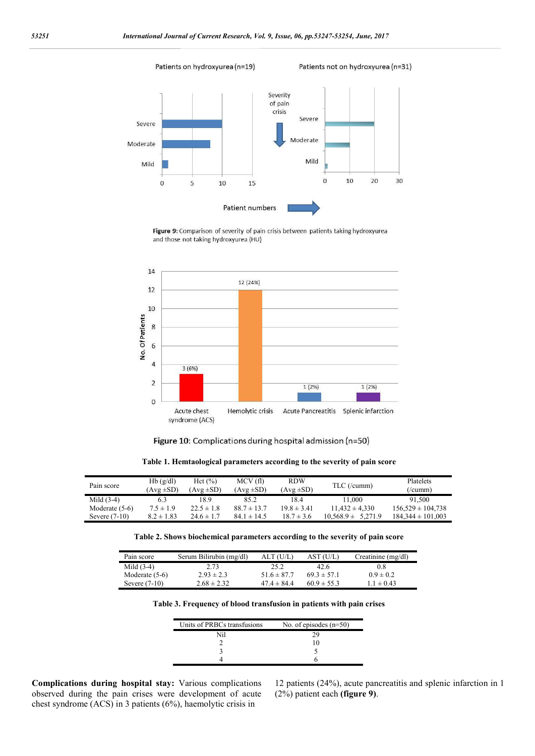Patients on hydroxyurea (n=19)

Patients not on hydroxyurea (n=31)



Figure 9: Comparison of severity of pain crisis between patients taking hydroxyurea and those not taking hydroxyurea (HU)



Figure 10: Complications during hospital admission (n=50)

**Table 1. Hemtaological parameters according to the severity of pain score**

| Pain score       | Hb(g/dl)<br>$(Avg \pm SD)$ | Hct $(\% )$<br>$Avg \pm SD$ | MCV (fl)<br>$Avg \pm SD$ | <b>RDW</b><br>$(Avg \pm SD)$ | TLC (/cumm)               | Platelets<br>$($ /cumm $)$ |
|------------------|----------------------------|-----------------------------|--------------------------|------------------------------|---------------------------|----------------------------|
| Mild $(3-4)$     | 6.3                        | 8.9                         | 85.2                     | 18.4                         | 11.000                    | 91.500                     |
| Moderate $(5-6)$ | $7.5 \pm 1.9$              | $22.5 \pm 1.8$              | $88.7 \pm 13.7$          | $19.8 \pm 3.41$              | $11.432 \pm 4.330$        | $156.529 \pm 104.738$      |
| Severe $(7-10)$  | $8.2 \pm 1.83$             | $24.6 \pm 1.7$              | $84.1 \pm 14.5$          | $18.7 \pm 3.6$               | 5.271.9<br>$10.568.9 \pm$ | $184.344 \pm 101.003$      |

**Table 2. Shows biochemical parameters according to the severity of pain score**

| Pain score       | Serum Bilirubin (mg/dl) | ALT (U/L)       | AST (U/L)       | Creatinine (mg/dl) |
|------------------|-------------------------|-----------------|-----------------|--------------------|
| Mild $(3-4)$     | 2.73                    | 25.2            | 42.6            | 0.8                |
| Moderate $(5-6)$ | $2.93 \pm 2.3$          | $51.6 \pm 87.7$ | $69.3 \pm 57.1$ | $0.9 \pm 0.2$      |
| Severe $(7-10)$  | $2.68 \pm 2.32$         | $47.4 \pm 84.4$ | $60.9 \pm 55.3$ | $1.1 \pm 0.43$     |

**Table 3. Frequency of blood transfusion in patients with pain crises**

| Units of PRBCs transfusions | No. of episodes $(n=50)$ |
|-----------------------------|--------------------------|
| Nil                         | χg                       |
|                             |                          |
|                             |                          |
|                             |                          |

**Complications during hospital stay:** Various complications observed during the pain crises were development of acute chest syndrome (ACS) in 3 patients (6%), haemolytic crisis in

12 patients (24%), acute pancreatitis and splenic infarction in 1 (2%) patient each **(figure 9)**.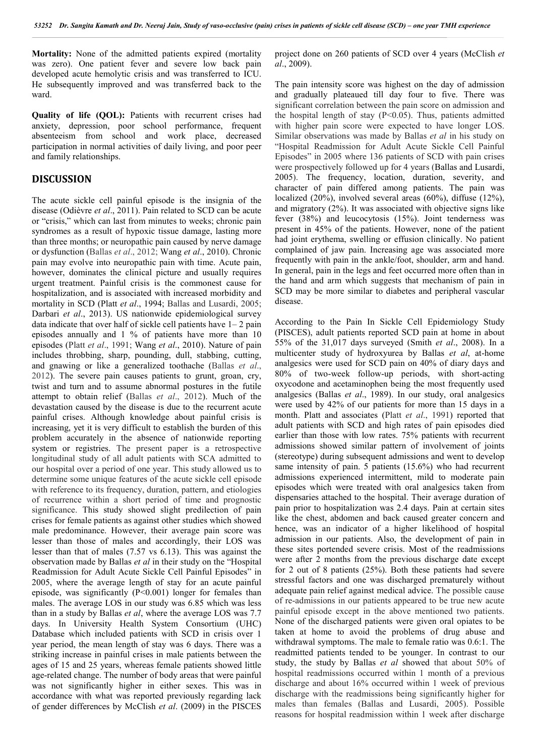**Mortality:** None of the admitted patients expired (mortality was zero). One patient fever and severe low back pain developed acute hemolytic crisis and was transferred to ICU. He subsequently improved and was transferred back to the ward.

**Quality of life (QOL):** Patients with recurrent crises had anxiety, depression, poor school performance, frequent absenteeism from school and work place, decreased participation in normal activities of daily living, and poor peer and family relationships.

## **DISCUSSION**

The acute sickle cell painful episode is the insignia of the disease (Odièvre *et al*., 2011). Pain related to SCD can be acute or "crisis," which can last from minutes to weeks; chronic pain syndromes as a result of hypoxic tissue damage, lasting more than three months; or neuropathic pain caused by nerve damage or dysfunction (Ballas *et al*., 2012; Wang *et al*., 2010). Chronic pain may evolve into neuropathic pain with time. Acute pain, however, dominates the clinical picture and usually requires urgent treatment. Painful crisis is the commonest cause for hospitalization, and is associated with increased morbidity and mortality in SCD (Platt *et al*., 1994; Ballas and Lusardi, 2005; Darbari *et al*., 2013). US nationwide epidemiological survey data indicate that over half of sickle cell patients have 1– 2 pain episodes annually and 1 % of patients have more than 10 episodes (Platt *et al*., 1991; Wang *et al*., 2010). Nature of pain includes throbbing, sharp, pounding, dull, stabbing, cutting, and gnawing or like a generalized toothache (Ballas *et al*., 2012). The severe pain causes patients to grunt, groan, cry, twist and turn and to assume abnormal postures in the futile attempt to obtain relief (Ballas *et al*., 2012). Much of the devastation caused by the disease is due to the recurrent acute painful crises. Although knowledge about painful crisis is increasing, yet it is very difficult to establish the burden of this problem accurately in the absence of nationwide reporting system or registries. The present paper is a retrospective longitudinal study of all adult patients with SCA admitted to our hospital over a period of one year. This study allowed us to determine some unique features of the acute sickle cell episode with reference to its frequency, duration, pattern, and etiologies of recurrence within a short period of time and prognostic significance. This study showed slight predilection of pain crises for female patients as against other studies which showed male predominance. However, their average pain score was lesser than those of males and accordingly, their LOS was lesser than that of males (7.57 vs 6.13). This was against the observation made by Ballas *et al* in their study on the "Hospital Readmission for Adult Acute Sickle Cell Painful Episodes" in 2005, where the average length of stay for an acute painful episode, was significantly (P<0.001) longer for females than males. The average LOS in our study was 6.85 which was less than in a study by Ballas *et al*, where the average LOS was 7.7 days. In University Health System Consortium (UHC) Database which included patients with SCD in crisis over 1 year period, the mean length of stay was 6 days. There was a striking increase in painful crises in male patients between the ages of 15 and 25 years, whereas female patients showed little age-related change. The number of body areas that were painful was not significantly higher in either sexes. This was in accordance with what was reported previously regarding lack of gender differences by McClish *et al*. (2009) in the PISCES

project done on 260 patients of SCD over 4 years (McClish *et al*., 2009).

The pain intensity score was highest on the day of admission and gradually plateaued till day four to five. There was significant correlation between the pain score on admission and the hospital length of stay  $(P<0.05)$ . Thus, patients admitted with higher pain score were expected to have longer LOS. Similar observations was made by Ballas *et al* in his study on "Hospital Readmission for Adult Acute Sickle Cell Painful Episodes" in 2005 where 136 patients of SCD with pain crises were prospectively followed up for 4 years (Ballas and Lusardi, 2005). The frequency, location, duration, severity, and character of pain differed among patients. The pain was localized (20%), involved several areas (60%), diffuse (12%), and migratory (2%). It was associated with objective signs like fever (38%) and leucocytosis (15%). Joint tenderness was present in 45% of the patients. However, none of the patient had joint erythema, swelling or effusion clinically. No patient complained of jaw pain. Increasing age was associated more frequently with pain in the ankle/foot, shoulder, arm and hand. In general, pain in the legs and feet occurred more often than in the hand and arm which suggests that mechanism of pain in SCD may be more similar to diabetes and peripheral vascular disease.

According to the Pain In Sickle Cell Epidemiology Study (PISCES), adult patients reported SCD pain at home in about 55% of the 31,017 days surveyed (Smith *et al*., 2008). In a multicenter study of hydroxyurea by Ballas *et al*, at-home analgesics were used for SCD pain on 40% of diary days and 80% of two-week follow-up periods, with short-acting oxycodone and acetaminophen being the most frequently used analgesics (Ballas *et al*., 1989). In our study, oral analgesics were used by 42% of our patients for more than 15 days in a month. Platt and associates (Platt *et al*., 1991) reported that adult patients with SCD and high rates of pain episodes died earlier than those with low rates. 75% patients with recurrent admissions showed similar pattern of involvement of joints (stereotype) during subsequent admissions and went to develop same intensity of pain. 5 patients (15.6%) who had recurrent admissions experienced intermittent, mild to moderate pain episodes which were treated with oral analgesics taken from dispensaries attached to the hospital. Their average duration of pain prior to hospitalization was 2.4 days. Pain at certain sites like the chest, abdomen and back caused greater concern and hence, was an indicator of a higher likelihood of hospital admission in our patients. Also, the development of pain in these sites portended severe crisis. Most of the readmissions were after 2 months from the previous discharge date except for 2 out of 8 patients (25%). Both these patients had severe stressful factors and one was discharged prematurely without adequate pain relief against medical advice. The possible cause of re-admissions in our patients appeared to be true new acute painful episode except in the above mentioned two patients. None of the discharged patients were given oral opiates to be taken at home to avoid the problems of drug abuse and withdrawal symptoms. The male to female ratio was 0.6:1. The readmitted patients tended to be younger. In contrast to our study, the study by Ballas *et al* showed that about 50% of hospital readmissions occurred within 1 month of a previous discharge and about 16% occurred within 1 week of previous discharge with the readmissions being significantly higher for males than females (Ballas and Lusardi, 2005). Possible reasons for hospital readmission within 1 week after discharge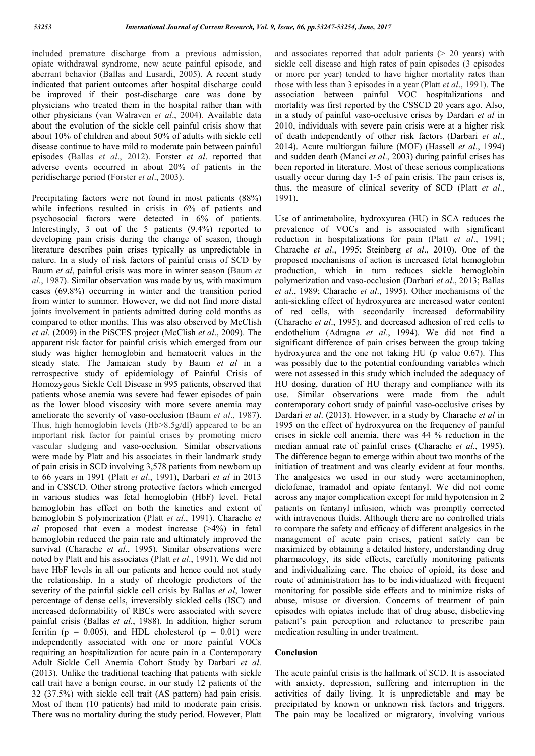included premature discharge from a previous admission, opiate withdrawal syndrome, new acute painful episode, and aberrant behavior (Ballas and Lusardi, 2005). A recent study indicated that patient outcomes after hospital discharge could be improved if their post-discharge care was done by physicians who treated them in the hospital rather than with other physicians (van Walraven *et al*., 2004). Available data about the evolution of the sickle cell painful crisis show that about 10% of children and about 50% of adults with sickle cell disease continue to have mild to moderate pain between painful episodes (Ballas *et al*., 2012). Forster *et al*. reported that adverse events occurred in about 20% of patients in the peridischarge period (Forster *et al*., 2003).

Precipitating factors were not found in most patients (88%) while infections resulted in crisis in 6% of patients and psychosocial factors were detected in 6% of patients. Interestingly, 3 out of the 5 patients (9.4%) reported to developing pain crisis during the change of season, though literature describes pain crises typically as unpredictable in nature. In a study of risk factors of painful crisis of SCD by Baum *et al*, painful crisis was more in winter season (Baum *et al*., 1987). Similar observation was made by us, with maximum cases (69.8%) occurring in winter and the transition period from winter to summer. However, we did not find more distal joints involvement in patients admitted during cold months as compared to other months. This was also observed by McClish *et al*. (2009) in the PiSCES project (McClish *et al*., 2009). The apparent risk factor for painful crisis which emerged from our study was higher hemoglobin and hematocrit values in the steady state. The Jamaican study by Baum *et al* in a retrospective study of epidemiology of Painful Crisis of Homozygous Sickle Cell Disease in 995 patients, observed that patients whose anemia was severe had fewer episodes of pain as the lower blood viscosity with more severe anemia may ameliorate the severity of vaso-occlusion (Baum *et al*., 1987). Thus, high hemoglobin levels (Hb>8.5g/dl) appeared to be an important risk factor for painful crises by promoting micro vascular sludging and vaso-occlusion. Similar observations were made by Platt and his associates in their landmark study of pain crisis in SCD involving 3,578 patients from newborn up to 66 years in 1991 (Platt *et al*., 1991), Darbari *et al* in 2013 and in CSSCD. Other strong protective factors which emerged in various studies was fetal hemoglobin (HbF) level. Fetal hemoglobin has effect on both the kinetics and extent of hemoglobin S polymerization (Platt *et al*., 1991). Charache *et al* proposed that even a modest increase (>4%) in fetal hemoglobin reduced the pain rate and ultimately improved the survival (Charache *et al*., 1995). Similar observations were noted by Platt and his associates (Platt *et al*., 1991). We did not have HbF levels in all our patients and hence could not study the relationship. In a study of rheologic predictors of the severity of the painful sickle cell crisis by Ballas *et al*, lower percentage of dense cells, irreversibly sickled cells (ISC) and increased deformability of RBCs were associated with severe painful crisis (Ballas *et al*., 1988). In addition, higher serum ferritin ( $p = 0.005$ ), and HDL cholesterol ( $p = 0.01$ ) were independently associated with one or more painful VOCs requiring an hospitalization for acute pain in a Contemporary Adult Sickle Cell Anemia Cohort Study by Darbari *et al*. (2013). Unlike the traditional teaching that patients with sickle call trait have a benign course, in our study 12 patients of the 32 (37.5%) with sickle cell trait (AS pattern) had pain crisis. Most of them (10 patients) had mild to moderate pain crisis. There was no mortality during the study period. However, Platt

and associates reported that adult patients  $(> 20$  years) with sickle cell disease and high rates of pain episodes (3 episodes or more per year) tended to have higher mortality rates than those with less than 3 episodes in a year (Platt *et al*., 1991). The association between painful VOC hospitalizations and mortality was first reported by the CSSCD 20 years ago. Also, in a study of painful vaso-occlusive crises by Dardari *et al* in 2010, individuals with severe pain crisis were at a higher risk of death independently of other risk factors (Darbari *et al*., 2014). Acute multiorgan failure (MOF) (Hassell *et al*., 1994) and sudden death (Manci *et al*., 2003) during painful crises has been reported in literature. Most of these serious complications usually occur during day 1-5 of pain crisis. The pain crises is, thus, the measure of clinical severity of SCD (Platt *et al*., 1991).

Use of antimetabolite, hydroxyurea (HU) in SCA reduces the prevalence of VOCs and is associated with significant reduction in hospitalizations for pain (Platt *et al*., 1991; Charache *et al*., 1995; Steinberg *et al*., 2010). One of the proposed mechanisms of action is increased fetal hemoglobin production, which in turn reduces sickle hemoglobin polymerization and vaso-occlusion (Darbari *et al*., 2013; Ballas *et al*., 1989; Charache *et al*., 1995). Other mechanisms of the anti-sickling effect of hydroxyurea are increased water content of red cells, with secondarily increased deformability (Charache *et al*., 1995), and decreased adhesion of red cells to endothelium (Adragna *et al*., 1994). We did not find a significant difference of pain crises between the group taking hydroxyurea and the one not taking HU (p value 0.67). This was possibly due to the potential confounding variables which were not assessed in this study which included the adequacy of HU dosing, duration of HU therapy and compliance with its use. Similar observations were made from the adult contemporary cohort study of painful vaso-occlusive crises by Dardari *et al*. (2013). However, in a study by Charache *et al* in 1995 on the effect of hydroxyurea on the frequency of painful crises in sickle cell anemia, there was 44 % reduction in the median annual rate of painful crises (Charache *et al*., 1995). The difference began to emerge within about two months of the initiation of treatment and was clearly evident at four months. The analgesics we used in our study were acetaminophen, diclofenac, tramadol and opiate fentanyl. We did not come across any major complication except for mild hypotension in 2 patients on fentanyl infusion, which was promptly corrected with intravenous fluids. Although there are no controlled trials to compare the safety and efficacy of different analgesics in the management of acute pain crises, patient safety can be maximized by obtaining a detailed history, understanding drug pharmacology, its side effects, carefully monitoring patients and individualizing care. The choice of opioid, its dose and route of administration has to be individualized with frequent monitoring for possible side effects and to minimize risks of abuse, misuse or diversion. Concerns of treatment of pain episodes with opiates include that of drug abuse, disbelieving patient's pain perception and reluctance to prescribe pain medication resulting in under treatment.

### **Conclusion**

The acute painful crisis is the hallmark of SCD. It is associated with anxiety, depression, suffering and interruption in the activities of daily living. It is unpredictable and may be precipitated by known or unknown risk factors and triggers. The pain may be localized or migratory, involving various